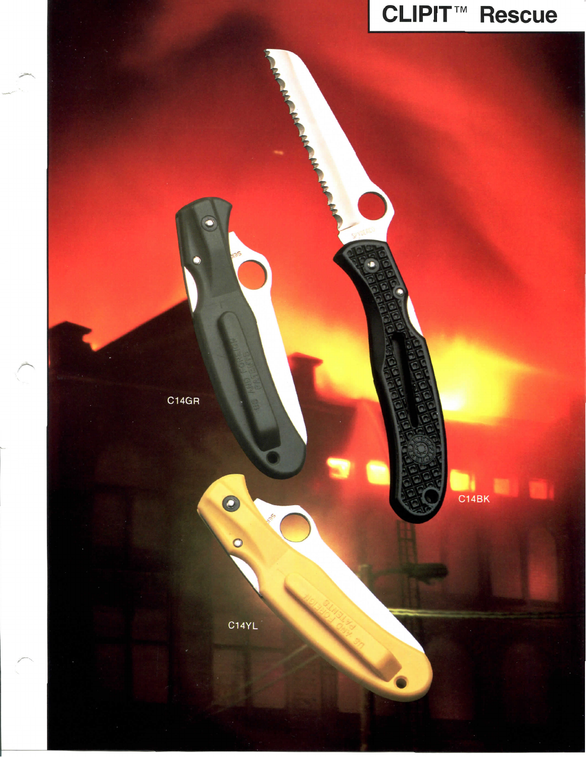## **CLIPIT<sup>™</sup> Rescue**

C14BK

C14GR

C

C14YL

 $\bullet$ 

 $\circ$